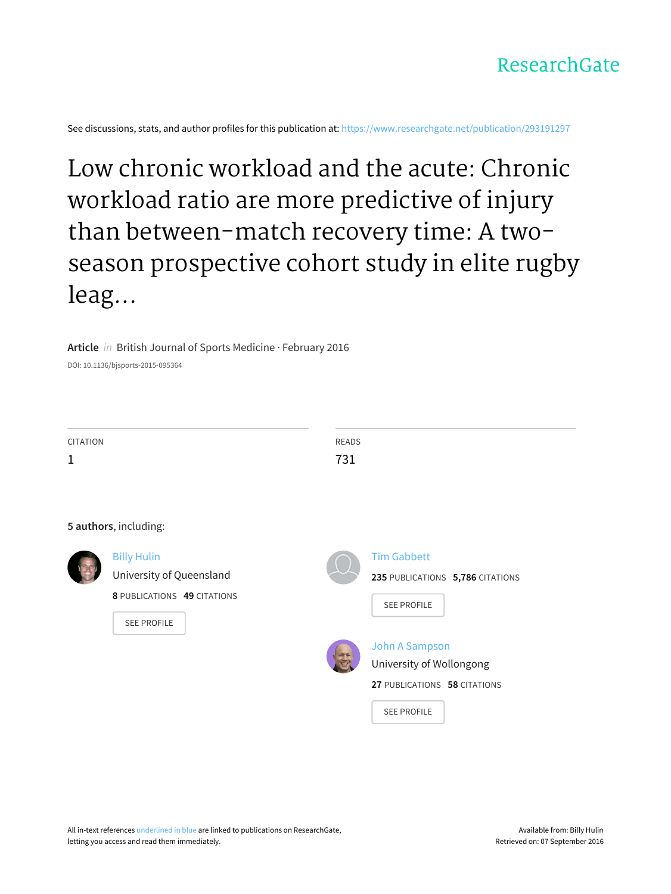See discussions, stats, and author profiles for this publication at: [https://www.researchgate.net/publication/293191297](https://www.researchgate.net/publication/293191297_Low_chronic_workload_and_the_acute_Chronic_workload_ratio_are_more_predictive_of_injury_than_between-match_recovery_time_A_two-season_prospective_cohort_study_in_elite_rugby_league_players?enrichId=rgreq-b6c0f9d7256d2d9b49b73bd4d9965946-XXX&enrichSource=Y292ZXJQYWdlOzI5MzE5MTI5NztBUzozNDI2NzM5MjQ4NzAxNDRAMTQ1ODcxMTIzODEzNg%3D%3D&el=1_x_2)

# Low chronic workload and the acute: Chronic workload ratio are more predictive of injury than [between-match](https://www.researchgate.net/publication/293191297_Low_chronic_workload_and_the_acute_Chronic_workload_ratio_are_more_predictive_of_injury_than_between-match_recovery_time_A_two-season_prospective_cohort_study_in_elite_rugby_league_players?enrichId=rgreq-b6c0f9d7256d2d9b49b73bd4d9965946-XXX&enrichSource=Y292ZXJQYWdlOzI5MzE5MTI5NztBUzozNDI2NzM5MjQ4NzAxNDRAMTQ1ODcxMTIzODEzNg%3D%3D&el=1_x_3) recovery time: A twoseason prospective cohort study in elite rugby leag...

#### **Article** in British Journal of Sports Medicine · February 2016

DOI: 10.1136/bjsports-2015-095364

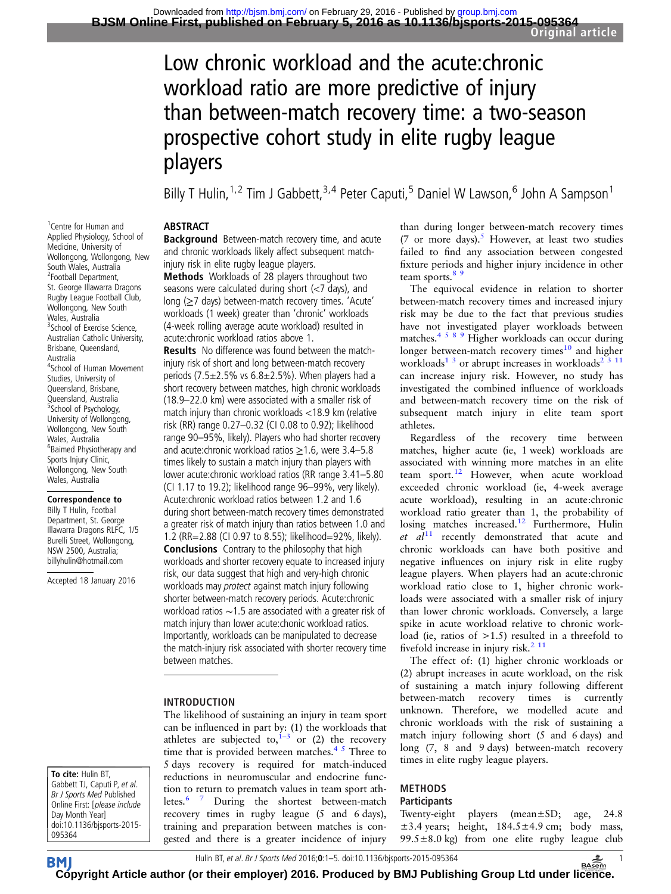# Low chronic workload and the acute:chronic workload ratio are more predictive of injury than between-match recovery time: a two-season prospective cohort study in elite rugby league players

Billy T Hulin,<sup>1,2</sup> Tim J Gabbett,<sup>3,4</sup> Peter Caputi,<sup>5</sup> Daniel W Lawson,<sup>6</sup> John A Sampson<sup>1</sup>

#### ABSTRACT

Background Between-match recovery time, and acute and chronic workloads likely affect subsequent matchinjury risk in elite rugby league players.

Methods Workloads of 28 players throughout two seasons were calculated during short (<7 days), and long (≥7 days) between-match recovery times. 'Acute' workloads (1 week) greater than 'chronic' workloads (4-week rolling average acute workload) resulted in acute:chronic workload ratios above 1.

**Results** No difference was found between the matchinjury risk of short and long between-match recovery periods (7.5 $\pm$ 2.5% vs 6.8 $\pm$ 2.5%). When players had a short recovery between matches, high chronic workloads (18.9–22.0 km) were associated with a smaller risk of match injury than chronic workloads <18.9 km (relative risk (RR) range 0.27–0.32 (CI 0.08 to 0.92); likelihood range 90–95%, likely). Players who had shorter recovery and acute: chronic workload ratios  $\geq$  1.6, were 3.4–5.8 times likely to sustain a match injury than players with lower acute:chronic workload ratios (RR range 3.41–5.80 (CI 1.17 to 19.2); likelihood range 96–99%, very likely). Acute:chronic workload ratios between 1.2 and 1.6 during short between-match recovery times demonstrated a greater risk of match injury than ratios between 1.0 and 1.2 (RR=2.88 (CI 0.97 to 8.55); likelihood=92%, likely). **Conclusions** Contrary to the philosophy that high workloads and shorter recovery equate to increased injury risk, our data suggest that high and very-high chronic workloads may protect against match injury following shorter between-match recovery periods. Acute:chronic workload ratios ∼1.5 are associated with a greater risk of match injury than lower acute:chonic workload ratios. Importantly, workloads can be manipulated to decrease the match-injury risk associated with shorter recovery time between matches.

#### INTRODUCTION

The likelihood of sustaining an injury in team sport can be influenced in part by: (1) the workloads that athletes are subjected to,  $1-3$  $1-3$  or (2) the recovery time that is provided between matches. $4<sup>5</sup>$  Three to 5 days recovery is required for match-induced reductions in neuromuscular and endocrine function to return to prematch values in team sport ath-letes.<sup>[6 7](#page-5-0)</sup> During the shortest between-match recovery times in rugby league (5 and 6 days), training and preparation between matches is congested and there is a greater incidence of injury

than during longer between-match recovery times (7 or more days). $5$  However, at least two studies failed to find any association between congested fixture periods and higher injury incidence in other team sports. $8<sup>9</sup>$ 

The equivocal evidence in relation to shorter between-match recovery times and increased injury risk may be due to the fact that previous studies have not investigated player workloads between matches.<sup>4589</sup> Higher workloads can occur during longer between-match recovery times<sup>10</sup> and higher workloads<sup>[1 3](#page-5-0)</sup> or abrupt increases in workloads<sup>[2 3 11](#page-5-0)</sup> can increase injury risk. However, no study has investigated the combined influence of workloads and between-match recovery time on the risk of subsequent match injury in elite team sport athletes.

Regardless of the recovery time between matches, higher acute (ie, 1 week) workloads are associated with winning more matches in an elite team sport.<sup>[12](#page-5-0)</sup> However, when acute workload exceeded chronic workload (ie, 4-week average acute workload), resulting in an acute:chronic workload ratio greater than 1, the probability of losing matches increased[.12](#page-5-0) Furthermore, Hulin et  $al<sup>11</sup>$  $al<sup>11</sup>$  $al<sup>11</sup>$  recently demonstrated that acute and chronic workloads can have both positive and negative influences on injury risk in elite rugby league players. When players had an acute:chronic workload ratio close to 1, higher chronic workloads were associated with a smaller risk of injury than lower chronic workloads. Conversely, a large spike in acute workload relative to chronic workload (ie, ratios of  $>1.5$ ) resulted in a threefold to fivefold increase in injury risk. $^{2}$  <sup>11</sup>

The effect of: (1) higher chronic workloads or (2) abrupt increases in acute workload, on the risk of sustaining a match injury following different between-match recovery times is currently unknown. Therefore, we modelled acute and chronic workloads with the risk of sustaining a match injury following short (5 and 6 days) and long (7, 8 and 9 days) between-match recovery times in elite rugby league players.

# METHODS

### **Participants**

Twenty-eight players (mean±SD; age, 24.8  $\pm$ 3.4 years; height, 184.5 $\pm$ 4.9 cm; body mass,  $99.5 \pm 8.0$  kg) from one elite rugby league club

1 Centre for Human and Applied Physiology, School of Medicine, University of Wollongong, Wollongong, New South Wales, Australia 2 Football Department, St. George Illawarra Dragons Rugby League Football Club, Wollongong, New South Wales, Australia <sup>3</sup>School of Exercise Science, Australian Catholic University, Brisbane, Queensland, Australia 4 School of Human Movement Studies, University of Queensland, Brisbane, Queensland, Australia 5 School of Psychology, University of Wollongong, Wollongong, New South Wales, Australia 6 Baimed Physiotherapy and Sports Injury Clinic, Wollongong, New South Wales, Australia

Correspondence to

Billy T Hulin, Football Department, St. George Illawarra Dragons RLFC, 1/5 Burelli Street, Wollongong, NSW 2500, Australia; billyhulin@hotmail.com

Accepted 18 January 2016

To cite: Hulin BT, Gabbett TJ, Caputi P, et al. Br J Sports Med Published Online First: [please include Day Month Year] doi:10.1136/bjsports-2015- 095364

Hulin BT, et al. Br J Sports Med 2016;0:1-5. doi:10.1136/bjsports-2015-095364 **1** 

**BM [Cop](http://bjsm.bmj.com)yright Article author (or their employer) 2016. Produced by BMJ Publishing Group Ltd under li[cenc](http://www.basem.co.uk/)e.**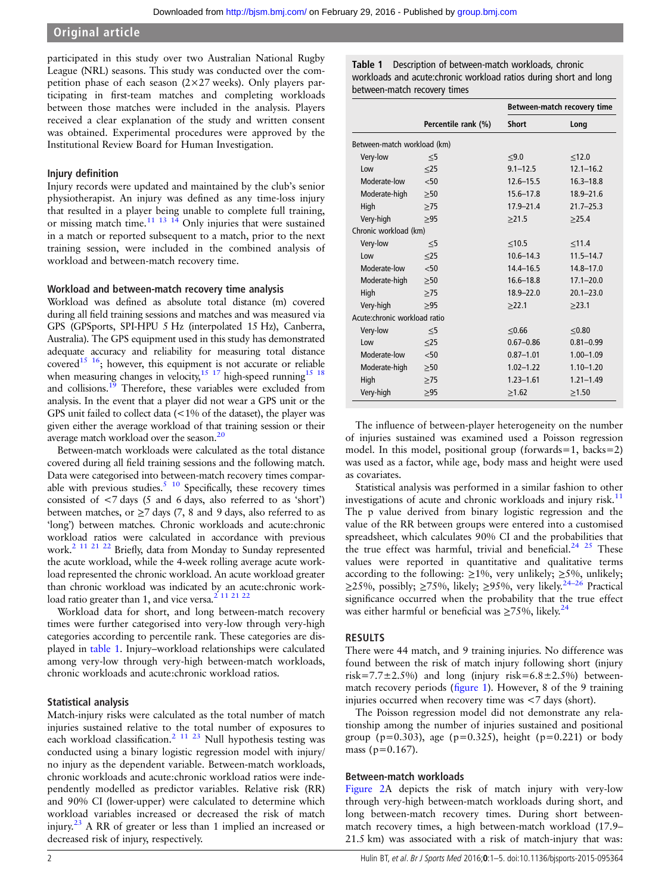### Original article

participated in this study over two Australian National Rugby League (NRL) seasons. This study was conducted over the competition phase of each season  $(2\times27$  weeks). Only players participating in first-team matches and completing workloads between those matches were included in the analysis. Players received a clear explanation of the study and written consent was obtained. Experimental procedures were approved by the Institutional Review Board for Human Investigation.

#### Injury definition

Injury records were updated and maintained by the club's senior physiotherapist. An injury was defined as any time-loss injury that resulted in a player being unable to complete full training, or missing match time. $11 \frac{13}{13} \frac{14}{14}$  Only injuries that were sustained in a match or reported subsequent to a match, prior to the next training session, were included in the combined analysis of workload and between-match recovery time.

#### Workload and between-match recovery time analysis

Workload was defined as absolute total distance (m) covered during all field training sessions and matches and was measured via GPS (GPSports, SPI-HPU 5 Hz (interpolated 15 Hz), Canberra, Australia). The GPS equipment used in this study has demonstrated adequate accuracy and reliability for measuring total distance covered<sup>15 16</sup>; however, this equipment is not accurate or reliable when measuring changes in velocity,<sup>15 17</sup> high-speed running<sup>15 18</sup> and collisions.<sup>19</sup> Therefore, these variables were excluded from analysis. In the event that a player did not wear a GPS unit or the GPS unit failed to collect data (<1% of the dataset), the player was given either the average workload of that training session or their average match workload over the season.<sup>20</sup>

Between-match workloads were calculated as the total distance covered during all field training sessions and the following match. Data were categorised into between-match recovery times comparable with previous studies. $5\frac{10}{10}$  Specifically, these recovery times consisted of <7 days (5 and 6 days, also referred to as 'short') between matches, or  $\geq$ 7 days (7, 8 and 9 days, also referred to as 'long') between matches. Chronic workloads and acute:chronic workload ratios were calculated in accordance with previous work[.2 11 21 22](#page-5-0) Briefly, data from Monday to Sunday represented the acute workload, while the 4-week rolling average acute workload represented the chronic workload. An acute workload greater than chronic workload was indicated by an acute:chronic work-load ratio greater than 1, and vice versa.<sup>[2 11 21 22](#page-5-0)</sup>

Workload data for short, and long between-match recovery times were further categorised into very-low through very-high categories according to percentile rank. These categories are displayed in table 1. Injury–workload relationships were calculated among very-low through very-high between-match workloads, chronic workloads and acute:chronic workload ratios.

#### Statistical analysis

Match-injury risks were calculated as the total number of match injuries sustained relative to the total number of exposures to each workload classification.<sup>[2 11 23](#page-5-0)</sup> Null hypothesis testing was conducted using a binary logistic regression model with injury/ no injury as the dependent variable. Between-match workloads, chronic workloads and acute:chronic workload ratios were independently modelled as predictor variables. Relative risk (RR) and 90% CI (lower-upper) were calculated to determine which workload variables increased or decreased the risk of match injury.<sup>[23](#page-5-0)</sup> A RR of greater or less than 1 implied an increased or decreased risk of injury, respectively.

Table 1 Description of between-match workloads, chronic workloads and acute:chronic workload ratios during short and long between-match recovery times

|                              |                     | Between-match recovery time |               |  |  |
|------------------------------|---------------------|-----------------------------|---------------|--|--|
|                              | Percentile rank (%) | <b>Short</b>                | Long          |  |  |
| Between-match workload (km)  |                     |                             |               |  |  |
| Very-low                     | $\leq$ 5            | $≤9.0$                      | $\leq 12.0$   |  |  |
| Low                          | $\leq$ 25           | $9.1 - 12.5$                | $12.1 - 16.2$ |  |  |
| Moderate-low                 | < 50                | $12.6 - 15.5$               | $16.3 - 18.8$ |  |  |
| Moderate-high                | >50                 | $15.6 - 17.8$               | $18.9 - 21.6$ |  |  |
| High                         | $\geq$ 75           | $17.9 - 21.4$               | $21.7 - 25.3$ |  |  |
| Very-high                    | >95                 | >21.5                       | >25.4         |  |  |
| Chronic workload (km)        |                     |                             |               |  |  |
| Very-low                     | $\leq$ 5            | < 10.5                      | < 11.4        |  |  |
| Low                          | $\leq$ 25           | $10.6 - 14.3$               | $11.5 - 14.7$ |  |  |
| Moderate-low                 | $<$ 50              | $14.4 - 16.5$               | $14.8 - 17.0$ |  |  |
| Moderate-high                | >50                 | $16.6 - 18.8$               | $17.1 - 20.0$ |  |  |
| High                         | $\geq$ 75           | $18.9 - 22.0$               | $20.1 - 23.0$ |  |  |
| Very-high                    | >95                 | >22.1                       | >23.1         |  |  |
| Acute:chronic workload ratio |                     |                             |               |  |  |
| Very-low                     | $\leq$ 5            | < 0.66                      | < 0.80        |  |  |
| Low                          | $\leq$ 25           | $0.67 - 0.86$               | $0.81 - 0.99$ |  |  |
| Moderate-low                 | < 50                | $0.87 - 1.01$               | $1.00 - 1.09$ |  |  |
| Moderate-high                | $\geq 50$           | $1.02 - 1.22$               | $1.10 - 1.20$ |  |  |
| High                         | >75                 | $1.23 - 1.61$               | $1.21 - 1.49$ |  |  |
| Very-high                    | >95                 | $\geq 1.62$                 | $\geq 1.50$   |  |  |

The influence of between-player heterogeneity on the number of injuries sustained was examined used a Poisson regression model. In this model, positional group (forwards=1, backs=2) was used as a factor, while age, body mass and height were used as covariates.

Statistical analysis was performed in a similar fashion to other investigations of acute and chronic workloads and injury risk. $11$ The p value derived from binary logistic regression and the value of the RR between groups were entered into a customised spreadsheet, which calculates 90% CI and the probabilities that the true effect was harmful, trivial and beneficial.<sup>24</sup> <sup>25</sup> These values were reported in quantitative and qualitative terms according to the following:  $\geq$ 1%, very unlikely;  $\geq$ 5%, unlikely; ≥25%, possibly; ≥75%, likely; ≥95%, very likely.<sup>24–[26](#page-5-0)</sup> Practical significance occurred when the probability that the true effect was either harmful or beneficial was  $\geq 75\%$ , likely.<sup>[24](#page-5-0)</sup>

#### RESULTS

There were 44 match, and 9 training injuries. No difference was found between the risk of match injury following short (injury risk=7.7 $\pm$ 2.5%) and long (injury risk=6.8 $\pm$ 2.5%) betweenmatch recovery periods (fi[gure 1\)](#page-3-0). However, 8 of the 9 training injuries occurred when recovery time was <7 days (short).

The Poisson regression model did not demonstrate any relationship among the number of injuries sustained and positional group ( $p=0.303$ ), age ( $p=0.325$ ), height ( $p=0.221$ ) or body mass ( $p=0.167$ ).

#### Between-match workloads

[Figure 2](#page-3-0)A depicts the risk of match injury with very-low through very-high between-match workloads during short, and long between-match recovery times. During short betweenmatch recovery times, a high between-match workload (17.9– 21.5 km) was associated with a risk of match-injury that was: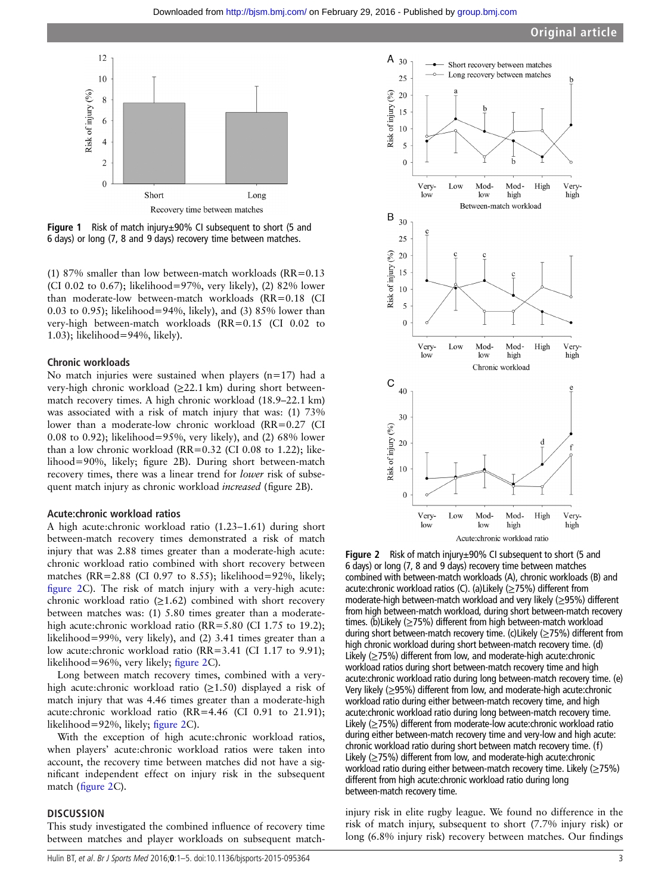<span id="page-3-0"></span>

Figure 1 Risk of match injury±90% CI subsequent to short (5 and 6 days) or long (7, 8 and 9 days) recovery time between matches.

(1) 87% smaller than low between-match workloads (RR=0.13 (CI 0.02 to 0.67); likelihood=97%, very likely), (2) 82% lower than moderate-low between-match workloads (RR=0.18 (CI 0.03 to 0.95); likelihood=94%, likely), and (3) 85% lower than very-high between-match workloads (RR=0.15 (CI 0.02 to 1.03); likelihood=94%, likely).

#### Chronic workloads

No match injuries were sustained when players  $(n=17)$  had a very-high chronic workload (≥22.1 km) during short betweenmatch recovery times. A high chronic workload (18.9–22.1 km) was associated with a risk of match injury that was: (1) 73% lower than a moderate-low chronic workload (RR=0.27 (CI 0.08 to 0.92); likelihood=95%, very likely), and (2) 68% lower than a low chronic workload (RR=0.32 (CI 0.08 to 1.22); likelihood=90%, likely; figure 2B). During short between-match recovery times, there was a linear trend for lower risk of subsequent match injury as chronic workload increased (figure 2B).

#### Acute:chronic workload ratios

A high acute:chronic workload ratio (1.23–1.61) during short between-match recovery times demonstrated a risk of match injury that was 2.88 times greater than a moderate-high acute: chronic workload ratio combined with short recovery between matches (RR=2.88 (CI 0.97 to 8.55); likelihood=92%, likely; figure 2C). The risk of match injury with a very-high acute: chronic workload ratio  $(≥1.62)$  combined with short recovery between matches was: (1) 5.80 times greater than a moderatehigh acute:chronic workload ratio (RR=5.80 (CI 1.75 to 19.2); likelihood=99%, very likely), and (2) 3.41 times greater than a low acute:chronic workload ratio (RR=3.41 (CI 1.17 to 9.91); likelihood=96%, very likely; figure 2C).

Long between match recovery times, combined with a veryhigh acute: chronic workload ratio  $(\geq 1.50)$  displayed a risk of match injury that was 4.46 times greater than a moderate-high acute:chronic workload ratio (RR=4.46 (CI 0.91 to 21.91); likelihood=92%, likely; figure 2C).

With the exception of high acute:chronic workload ratios, when players' acute:chronic workload ratios were taken into account, the recovery time between matches did not have a significant independent effect on injury risk in the subsequent match (figure 2C).

#### **DISCUSSION**

This study investigated the combined influence of recovery time between matches and player workloads on subsequent match-



Figure 2 Risk of match injury±90% CI subsequent to short (5 and 6 days) or long (7, 8 and 9 days) recovery time between matches combined with between-match workloads (A), chronic workloads (B) and acute:chronic workload ratios (C). (a)Likely (≥75%) different from moderate-high between-match workload and very likely (≥95%) different from high between-match workload, during short between-match recovery times. (b)Likely (≥75%) different from high between-match workload during short between-match recovery time. (c)Likely (≥75%) different from high chronic workload during short between-match recovery time. (d) Likely (≥75%) different from low, and moderate-high acute:chronic workload ratios during short between-match recovery time and high acute:chronic workload ratio during long between-match recovery time. (e) Very likely (≥95%) different from low, and moderate-high acute:chronic workload ratio during either between-match recovery time, and high acute:chronic workload ratio during long between-match recovery time. Likely (≥75%) different from moderate-low acute:chronic workload ratio during either between-match recovery time and very-low and high acute: chronic workload ratio during short between match recovery time. (f) Likely (≥75%) different from low, and moderate-high acute:chronic workload ratio during either between-match recovery time. Likely ( $\geq$ 75%) different from high acute:chronic workload ratio during long between-match recovery time.

injury risk in elite rugby league. We found no difference in the risk of match injury, subsequent to short (7.7% injury risk) or long (6.8% injury risk) recovery between matches. Our findings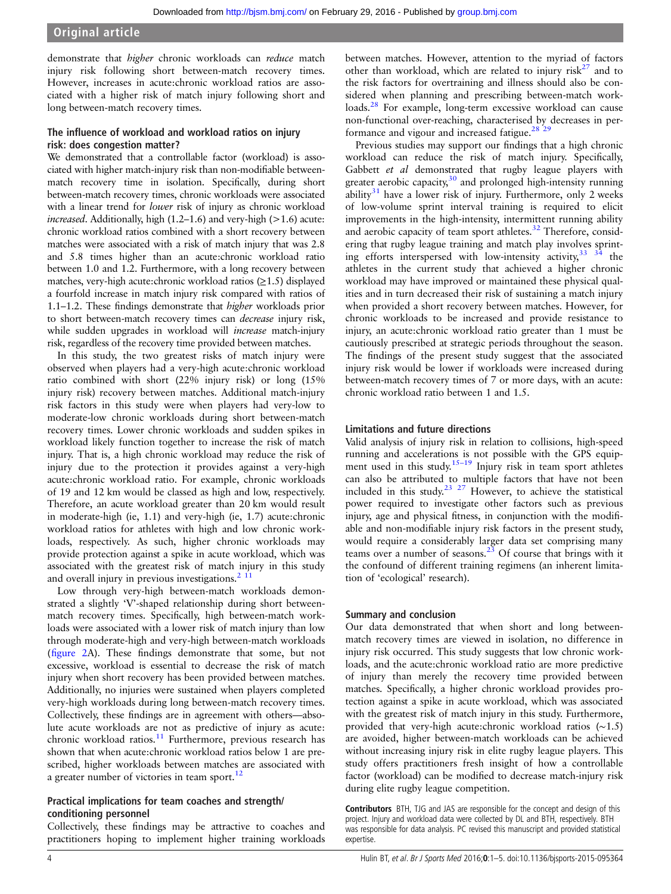Original article

demonstrate that higher chronic workloads can reduce match injury risk following short between-match recovery times. However, increases in acute:chronic workload ratios are associated with a higher risk of match injury following short and long between-match recovery times.

#### The influence of workload and workload ratios on injury risk: does congestion matter?

We demonstrated that a controllable factor (workload) is associated with higher match-injury risk than non-modifiable betweenmatch recovery time in isolation. Specifically, during short between-match recovery times, chronic workloads were associated with a linear trend for lower risk of injury as chronic workload *increased*. Additionally, high  $(1.2–1.6)$  and very-high  $(>1.6)$  acute: chronic workload ratios combined with a short recovery between matches were associated with a risk of match injury that was 2.8 and 5.8 times higher than an acute:chronic workload ratio between 1.0 and 1.2. Furthermore, with a long recovery between matches, very-high acute:chronic workload ratios  $(\geq 1.5)$  displayed a fourfold increase in match injury risk compared with ratios of 1.1–1.2. These findings demonstrate that higher workloads prior to short between-match recovery times can decrease injury risk, while sudden upgrades in workload will *increase* match-injury risk, regardless of the recovery time provided between matches.

In this study, the two greatest risks of match injury were observed when players had a very-high acute:chronic workload ratio combined with short (22% injury risk) or long (15% injury risk) recovery between matches. Additional match-injury risk factors in this study were when players had very-low to moderate-low chronic workloads during short between-match recovery times. Lower chronic workloads and sudden spikes in workload likely function together to increase the risk of match injury. That is, a high chronic workload may reduce the risk of injury due to the protection it provides against a very-high acute:chronic workload ratio. For example, chronic workloads of 19 and 12 km would be classed as high and low, respectively. Therefore, an acute workload greater than 20 km would result in moderate-high (ie, 1.1) and very-high (ie, 1.7) acute:chronic workload ratios for athletes with high and low chronic workloads, respectively. As such, higher chronic workloads may provide protection against a spike in acute workload, which was associated with the greatest risk of match injury in this study and overall injury in previous investigations. $2 \frac{11}{2}$ 

Low through very-high between-match workloads demonstrated a slightly 'V'-shaped relationship during short betweenmatch recovery times. Specifically, high between-match workloads were associated with a lower risk of match injury than low through moderate-high and very-high between-match workloads (fi[gure 2A](#page-3-0)). These findings demonstrate that some, but not excessive, workload is essential to decrease the risk of match injury when short recovery has been provided between matches. Additionally, no injuries were sustained when players completed very-high workloads during long between-match recovery times. Collectively, these findings are in agreement with others—absolute acute workloads are not as predictive of injury as acute: chronic workload ratios.<sup>[11](#page-5-0)</sup> Furthermore, previous research has shown that when acute:chronic workload ratios below 1 are prescribed, higher workloads between matches are associated with a greater number of victories in team sport. $^{12}$ 

#### Practical implications for team coaches and strength/ conditioning personnel

Collectively, these findings may be attractive to coaches and practitioners hoping to implement higher training workloads between matches. However, attention to the myriad of factors other than workload, which are related to injury  $risk^{27}$  $risk^{27}$  $risk^{27}$  and to the risk factors for overtraining and illness should also be considered when planning and prescribing between-match workloads.[28](#page-5-0) For example, long-term excessive workload can cause non-functional over-reaching, characterised by decreases in performance and vigour and increased fatigue.<sup>28</sup><sup>29</sup>

Previous studies may support our findings that a high chronic workload can reduce the risk of match injury. Specifically, Gabbett et al demonstrated that rugby league players with greater aerobic capacity,<sup>[30](#page-5-0)</sup> and prolonged high-intensity running ability<sup>[31](#page-5-0)</sup> have a lower risk of injury. Furthermore, only 2 weeks of low-volume sprint interval training is required to elicit improvements in the high-intensity, intermittent running ability and aerobic capacity of team sport athletes.<sup>[32](#page-5-0)</sup> Therefore, considering that rugby league training and match play involves sprinting efforts interspersed with low-intensity activity,[33 34](#page-5-0) the athletes in the current study that achieved a higher chronic workload may have improved or maintained these physical qualities and in turn decreased their risk of sustaining a match injury when provided a short recovery between matches. However, for chronic workloads to be increased and provide resistance to injury, an acute:chronic workload ratio greater than 1 must be cautiously prescribed at strategic periods throughout the season. The findings of the present study suggest that the associated injury risk would be lower if workloads were increased during between-match recovery times of 7 or more days, with an acute: chronic workload ratio between 1 and 1.5.

#### Limitations and future directions

Valid analysis of injury risk in relation to collisions, high-speed running and accelerations is not possible with the GPS equip-ment used in this study.<sup>[15](#page-5-0)–19</sup> Injury risk in team sport athletes can also be attributed to multiple factors that have not been included in this study.<sup>[23 27](#page-5-0)</sup> However, to achieve the statistical power required to investigate other factors such as previous injury, age and physical fitness, in conjunction with the modifiable and non-modifiable injury risk factors in the present study, would require a considerably larger data set comprising many teams over a number of seasons.<sup>[23](#page-5-0)</sup> Of course that brings with it the confound of different training regimens (an inherent limitation of 'ecological' research).

#### Summary and conclusion

Our data demonstrated that when short and long betweenmatch recovery times are viewed in isolation, no difference in injury risk occurred. This study suggests that low chronic workloads, and the acute:chronic workload ratio are more predictive of injury than merely the recovery time provided between matches. Specifically, a higher chronic workload provides protection against a spike in acute workload, which was associated with the greatest risk of match injury in this study. Furthermore, provided that very-high acute:chronic workload ratios (∼1.5) are avoided, higher between-match workloads can be achieved without increasing injury risk in elite rugby league players. This study offers practitioners fresh insight of how a controllable factor (workload) can be modified to decrease match-injury risk during elite rugby league competition.

Contributors BTH, TJG and JAS are responsible for the concept and design of this project. Injury and workload data were collected by DL and BTH, respectively. BTH was responsible for data analysis. PC revised this manuscript and provided statistical expertise.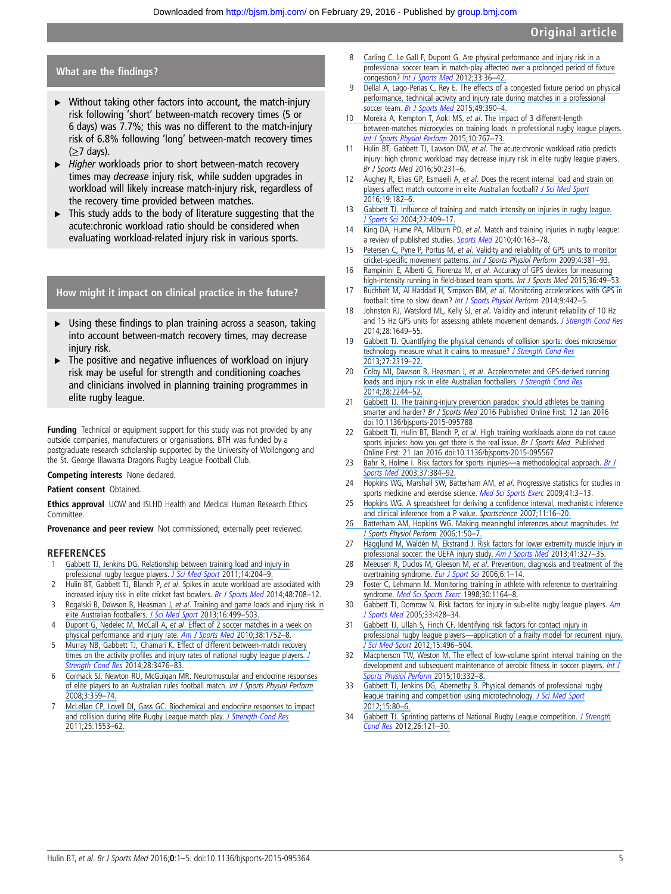#### <span id="page-5-0"></span>What are the findings?

- $\triangleright$  Without taking other factors into account, the match-injury risk following 'short' between-match recovery times (5 or 6 days) was 7.7%; this was no different to the match-injury risk of 6.8% following 'long' between-match recovery times (≥7 days).
- ▶ Higher workloads prior to short between-match recovery times may decrease injury risk, while sudden upgrades in workload will likely increase match-injury risk, regardless of the recovery time provided between matches.
- This study adds to the body of literature suggesting that the acute:chronic workload ratio should be considered when evaluating workload-related injury risk in various sports.

How might it impact on clinical practice in the future?

- ▸ Using these findings to plan training across a season, taking into account between-match recovery times, may decrease iniury risk.
- $\blacktriangleright$  The positive and negative influences of workload on injury risk may be useful for strength and conditioning coaches and clinicians involved in planning training programmes in elite rugby league.

Funding Technical or equipment support for this study was not provided by any outside companies, manufacturers or organisations. BTH was funded by a postgraduate research scholarship supported by the University of Wollongong and the St. George Illawarra Dragons Rugby League Football Club.

#### Competing interests None declared.

#### Patient consent Obtained.

**Ethics approval** UOW and ISLHD Health and Medical Human Research Ethics Committee.

Provenance and peer review Not commissioned; externally peer reviewed.

#### **REFERENCES**

- 1 [Gabbett TJ, Jenkins DG. Relationship between training load and injury in](https://www.researchgate.net/publication/49775412_Relationship_between_training_load_and_injury_in_professional_rugby_league_players?el=1_x_8&enrichId=rgreq-b6c0f9d7256d2d9b49b73bd4d9965946-XXX&enrichSource=Y292ZXJQYWdlOzI5MzE5MTI5NztBUzozNDI2NzM5MjQ4NzAxNDRAMTQ1ODcxMTIzODEzNg==) [professional rugby league players.](https://www.researchgate.net/publication/49775412_Relationship_between_training_load_and_injury_in_professional_rugby_league_players?el=1_x_8&enrichId=rgreq-b6c0f9d7256d2d9b49b73bd4d9965946-XXX&enrichSource=Y292ZXJQYWdlOzI5MzE5MTI5NztBUzozNDI2NzM5MjQ4NzAxNDRAMTQ1ODcxMTIzODEzNg==) [J Sci Med Sport](http://dx.doi.org/10.1016/j.jsams.2010.12.002) 2011;14:204-9.
- 2 Hulin BT, Gabbett TJ, Blanch P, et al. Spikes in acute workload are associated with increased injury risk in elite cricket fast bowlers. [Br J Sports Med](http://dx.doi.org/10.1136/bjsports-2013-092524) 2014;48:708-12.
- 3 Rogalski B, Dawson B, Heasman J, et al[. Training and game loads and injury risk in](https://www.researchgate.net/publication/234699103_Training_and_game_loads_and_injury_risk_in_elite_Australian_footballers?el=1_x_8&enrichId=rgreq-b6c0f9d7256d2d9b49b73bd4d9965946-XXX&enrichSource=Y292ZXJQYWdlOzI5MzE5MTI5NztBUzozNDI2NzM5MjQ4NzAxNDRAMTQ1ODcxMTIzODEzNg==) [elite Australian footballers.](https://www.researchgate.net/publication/234699103_Training_and_game_loads_and_injury_risk_in_elite_Australian_footballers?el=1_x_8&enrichId=rgreq-b6c0f9d7256d2d9b49b73bd4d9965946-XXX&enrichSource=Y292ZXJQYWdlOzI5MzE5MTI5NztBUzozNDI2NzM5MjQ4NzAxNDRAMTQ1ODcxMTIzODEzNg==) [J Sci Med Sport](http://dx.doi.org/10.1016/j.jsams.2012.12.004) 2013;16:499-503.
- 4 Dupont G, Nedelec M, McCall A, et al[. Effect of 2 soccer matches in a week on](https://www.researchgate.net/publication/43183311_Effect_of_2_Soccer_Matches_in_a_Week_on_Physical_Performance_and_Injury_Rate?el=1_x_8&enrichId=rgreq-b6c0f9d7256d2d9b49b73bd4d9965946-XXX&enrichSource=Y292ZXJQYWdlOzI5MzE5MTI5NztBUzozNDI2NzM5MjQ4NzAxNDRAMTQ1ODcxMTIzODEzNg==) [physical performance and injury rate.](https://www.researchgate.net/publication/43183311_Effect_of_2_Soccer_Matches_in_a_Week_on_Physical_Performance_and_Injury_Rate?el=1_x_8&enrichId=rgreq-b6c0f9d7256d2d9b49b73bd4d9965946-XXX&enrichSource=Y292ZXJQYWdlOzI5MzE5MTI5NztBUzozNDI2NzM5MjQ4NzAxNDRAMTQ1ODcxMTIzODEzNg==) [Am J Sports Med](http://dx.doi.org/10.1177/0363546510361236) 2010;38:1752-8.
- 5 [Murray NB, Gabbett TJ, Chamari K. Effect of different between-match recovery](https://www.researchgate.net/publication/263586153_Effect_of_Different_Between-Match_Recovery_Times_on_the_Activity_Profiles_and_Injury_Rates_of_National_Rugby_League_Players?el=1_x_8&enrichId=rgreq-b6c0f9d7256d2d9b49b73bd4d9965946-XXX&enrichSource=Y292ZXJQYWdlOzI5MzE5MTI5NztBUzozNDI2NzM5MjQ4NzAxNDRAMTQ1ODcxMTIzODEzNg==) times on the activity profi[les and injury rates of national rugby league players.](https://www.researchgate.net/publication/263586153_Effect_of_Different_Between-Match_Recovery_Times_on_the_Activity_Profiles_and_Injury_Rates_of_National_Rugby_League_Players?el=1_x_8&enrichId=rgreq-b6c0f9d7256d2d9b49b73bd4d9965946-XXX&enrichSource=Y292ZXJQYWdlOzI5MzE5MTI5NztBUzozNDI2NzM5MjQ4NzAxNDRAMTQ1ODcxMTIzODEzNg==) [J](http://dx.doi.org/10.1519/JSC.0000000000000603) [Strength Cond Res](http://dx.doi.org/10.1519/JSC.0000000000000603) 2014;28:3476–83.
- 6 [Cormack SJ, Newton RU, McGuigan MR. Neuromuscular and endocrine responses](https://www.researchgate.net/publication/24003031_Neuromuscular_and_Endocrine_Responses_of_Elite_Players_to_an_Australian_Rules_Football_Match?el=1_x_8&enrichId=rgreq-b6c0f9d7256d2d9b49b73bd4d9965946-XXX&enrichSource=Y292ZXJQYWdlOzI5MzE5MTI5NztBUzozNDI2NzM5MjQ4NzAxNDRAMTQ1ODcxMTIzODEzNg==) [of elite players to an Australian rules football match.](https://www.researchgate.net/publication/24003031_Neuromuscular_and_Endocrine_Responses_of_Elite_Players_to_an_Australian_Rules_Football_Match?el=1_x_8&enrichId=rgreq-b6c0f9d7256d2d9b49b73bd4d9965946-XXX&enrichSource=Y292ZXJQYWdlOzI5MzE5MTI5NztBUzozNDI2NzM5MjQ4NzAxNDRAMTQ1ODcxMTIzODEzNg==) Int J Sports Physiol Perform [2008;3:359](https://www.researchgate.net/publication/24003031_Neuromuscular_and_Endocrine_Responses_of_Elite_Players_to_an_Australian_Rules_Football_Match?el=1_x_8&enrichId=rgreq-b6c0f9d7256d2d9b49b73bd4d9965946-XXX&enrichSource=Y292ZXJQYWdlOzI5MzE5MTI5NztBUzozNDI2NzM5MjQ4NzAxNDRAMTQ1ODcxMTIzODEzNg==)–74.
- 7 [McLellan CP, Lovell DI, Gass GC. Biochemical and endocrine responses to impact](https://www.researchgate.net/publication/51156236_Biochemical_and_Endocrine_Responses_to_Impact_and_Collision_During_Elite_Rugby_League_Match_Play?el=1_x_8&enrichId=rgreq-b6c0f9d7256d2d9b49b73bd4d9965946-XXX&enrichSource=Y292ZXJQYWdlOzI5MzE5MTI5NztBUzozNDI2NzM5MjQ4NzAxNDRAMTQ1ODcxMTIzODEzNg==) [and collision during elite Rugby League match play.](https://www.researchgate.net/publication/51156236_Biochemical_and_Endocrine_Responses_to_Impact_and_Collision_During_Elite_Rugby_League_Match_Play?el=1_x_8&enrichId=rgreq-b6c0f9d7256d2d9b49b73bd4d9965946-XXX&enrichSource=Y292ZXJQYWdlOzI5MzE5MTI5NztBUzozNDI2NzM5MjQ4NzAxNDRAMTQ1ODcxMTIzODEzNg==) [J Strength Cond Res](http://dx.doi.org/10.1519/JSC.0b013e3181db9bdd) [2011;25:1553](https://www.researchgate.net/publication/51156236_Biochemical_and_Endocrine_Responses_to_Impact_and_Collision_During_Elite_Rugby_League_Match_Play?el=1_x_8&enrichId=rgreq-b6c0f9d7256d2d9b49b73bd4d9965946-XXX&enrichSource=Y292ZXJQYWdlOzI5MzE5MTI5NztBUzozNDI2NzM5MjQ4NzAxNDRAMTQ1ODcxMTIzODEzNg==)–62.
- 8 [Carling C, Le Gall F, Dupont G. Are physical performance and injury risk in a](https://www.researchgate.net/publication/51731448_Are_Physical_Performance_and_Injury_Risk_in_a_Professional_Soccer_Team_in_Match-Play_Affected_Over_a_Prolonged_Period_of_Fixture_Congestion?el=1_x_8&enrichId=rgreq-b6c0f9d7256d2d9b49b73bd4d9965946-XXX&enrichSource=Y292ZXJQYWdlOzI5MzE5MTI5NztBUzozNDI2NzM5MjQ4NzAxNDRAMTQ1ODcxMTIzODEzNg==) [professional soccer team in match-play affected over a prolonged period of](https://www.researchgate.net/publication/51731448_Are_Physical_Performance_and_Injury_Risk_in_a_Professional_Soccer_Team_in_Match-Play_Affected_Over_a_Prolonged_Period_of_Fixture_Congestion?el=1_x_8&enrichId=rgreq-b6c0f9d7256d2d9b49b73bd4d9965946-XXX&enrichSource=Y292ZXJQYWdlOzI5MzE5MTI5NztBUzozNDI2NzM5MjQ4NzAxNDRAMTQ1ODcxMTIzODEzNg==) fixture congestion? [I](https://www.researchgate.net/publication/51731448_Are_Physical_Performance_and_Injury_Risk_in_a_Professional_Soccer_Team_in_Match-Play_Affected_Over_a_Prolonged_Period_of_Fixture_Congestion?el=1_x_8&enrichId=rgreq-b6c0f9d7256d2d9b49b73bd4d9965946-XXX&enrichSource=Y292ZXJQYWdlOzI5MzE5MTI5NztBUzozNDI2NzM5MjQ4NzAxNDRAMTQ1ODcxMTIzODEzNg==)[nt J Sports Me](http://dx.doi.org/10.1055/s-0031-1283190)[d](https://www.researchgate.net/publication/51731448_Are_Physical_Performance_and_Injury_Risk_in_a_Professional_Soccer_Team_in_Match-Play_Affected_Over_a_Prolonged_Period_of_Fixture_Congestion?el=1_x_8&enrichId=rgreq-b6c0f9d7256d2d9b49b73bd4d9965946-XXX&enrichSource=Y292ZXJQYWdlOzI5MzE5MTI5NztBUzozNDI2NzM5MjQ4NzAxNDRAMTQ1ODcxMTIzODEzNg==) 2012;33:36-42.
- 9 [Dellal A, Lago-Peñas C, Rey E. The effects of a congested](https://www.researchgate.net/publication/235668871_The_effects_of_a_congested_fixture_period_on_physical_performance_technical_activity_and_injury_rate_during_matches_in_a_professional_soccer_team?el=1_x_8&enrichId=rgreq-b6c0f9d7256d2d9b49b73bd4d9965946-XXX&enrichSource=Y292ZXJQYWdlOzI5MzE5MTI5NztBUzozNDI2NzM5MjQ4NzAxNDRAMTQ1ODcxMTIzODEzNg==) fixture period on physical [performance, technical activity and injury rate during matches in a professional](https://www.researchgate.net/publication/235668871_The_effects_of_a_congested_fixture_period_on_physical_performance_technical_activity_and_injury_rate_during_matches_in_a_professional_soccer_team?el=1_x_8&enrichId=rgreq-b6c0f9d7256d2d9b49b73bd4d9965946-XXX&enrichSource=Y292ZXJQYWdlOzI5MzE5MTI5NztBUzozNDI2NzM5MjQ4NzAxNDRAMTQ1ODcxMTIzODEzNg==) soccer team. [Br J Sports Med](http://dx.doi.org/10.1136/bjsports-2012-091290) 2015;49:390-4.
- [10 Moreira A, Kempton T, Aoki MS,](https://www.researchgate.net/publication/277407176_The_Impact_of_Three_Different_Length_Between-Match_Microcycles_on_Training_Loads_in_Professional_Rugby_League_Players?el=1_x_8&enrichId=rgreq-b6c0f9d7256d2d9b49b73bd4d9965946-XXX&enrichSource=Y292ZXJQYWdlOzI5MzE5MTI5NztBUzozNDI2NzM5MjQ4NzAxNDRAMTQ1ODcxMTIzODEzNg==) et al. The impact of 3 different-length [between-matches microcycles on training loads in professional rugby league players.](https://www.researchgate.net/publication/277407176_The_Impact_of_Three_Different_Length_Between-Match_Microcycles_on_Training_Loads_in_Professional_Rugby_League_Players?el=1_x_8&enrichId=rgreq-b6c0f9d7256d2d9b49b73bd4d9965946-XXX&enrichSource=Y292ZXJQYWdlOzI5MzE5MTI5NztBUzozNDI2NzM5MjQ4NzAxNDRAMTQ1ODcxMTIzODEzNg==) [Int J Sports Physiol Perfor](http://dx.doi.org/10.1123/ijspp.2015-0100)[m](https://www.researchgate.net/publication/277407176_The_Impact_of_Three_Different_Length_Between-Match_Microcycles_on_Training_Loads_in_Professional_Rugby_League_Players?el=1_x_8&enrichId=rgreq-b6c0f9d7256d2d9b49b73bd4d9965946-XXX&enrichSource=Y292ZXJQYWdlOzI5MzE5MTI5NztBUzozNDI2NzM5MjQ4NzAxNDRAMTQ1ODcxMTIzODEzNg==) 2015;10:767-73.
- 11 Hulin BT, Gabbett TJ, Lawson DW, et al. The acute: chronic workload ratio predicts injury: high chronic workload may decrease injury risk in elite rugby league players. Br J Sports Med 2016;50:231–6.
- 12 Aughey R, Elias GP, Esmaeili A, et al[. Does the recent internal load and strain on](https://www.researchgate.net/publication/272567753_Does_the_recent_internal_load_and_strain_on_players_affect_match_outcome_in_elite_Australian_football?el=1_x_8&enrichId=rgreq-b6c0f9d7256d2d9b49b73bd4d9965946-XXX&enrichSource=Y292ZXJQYWdlOzI5MzE5MTI5NztBUzozNDI2NzM5MjQ4NzAxNDRAMTQ1ODcxMTIzODEzNg==) [players affect match outcome in elite Australian football?](https://www.researchgate.net/publication/272567753_Does_the_recent_internal_load_and_strain_on_players_affect_match_outcome_in_elite_Australian_football?el=1_x_8&enrichId=rgreq-b6c0f9d7256d2d9b49b73bd4d9965946-XXX&enrichSource=Y292ZXJQYWdlOzI5MzE5MTI5NztBUzozNDI2NzM5MjQ4NzAxNDRAMTQ1ODcxMTIzODEzNg==) [J Sci Med Sport](http://dx.doi.org/10.1016/j.jsams.2015.02.005) [2016;19:182](https://www.researchgate.net/publication/272567753_Does_the_recent_internal_load_and_strain_on_players_affect_match_outcome_in_elite_Australian_football?el=1_x_8&enrichId=rgreq-b6c0f9d7256d2d9b49b73bd4d9965946-XXX&enrichSource=Y292ZXJQYWdlOzI5MzE5MTI5NztBUzozNDI2NzM5MjQ4NzAxNDRAMTQ1ODcxMTIzODEzNg==)–6.
- 13 Gabbett TJ. Infl[uence of training and match intensity on injuries in rugby league.](https://www.researchgate.net/publication/8545020_Influence_of_training_and_match_intensity_on_injuries_in_rugby_league?el=1_x_8&enrichId=rgreq-b6c0f9d7256d2d9b49b73bd4d9965946-XXX&enrichSource=Y292ZXJQYWdlOzI5MzE5MTI5NztBUzozNDI2NzM5MjQ4NzAxNDRAMTQ1ODcxMTIzODEzNg==) [J Sports Sci](http://dx.doi.org/10.1080/02640410310001641638) [2004;22:409](https://www.researchgate.net/publication/8545020_Influence_of_training_and_match_intensity_on_injuries_in_rugby_league?el=1_x_8&enrichId=rgreq-b6c0f9d7256d2d9b49b73bd4d9965946-XXX&enrichSource=Y292ZXJQYWdlOzI5MzE5MTI5NztBUzozNDI2NzM5MjQ4NzAxNDRAMTQ1ODcxMTIzODEzNg==)–17.
- 14 King DA, Hume PA, Milburn PD, et al. Match and training injuries in rugby league: a review of published studies. [Sports Med](http://dx.doi.org/10.2165/11319740-000000000-00000) 2010;40:163-78.
- 15 Petersen C, Pyne P, Portus M, et al[. Validity and reliability of GPS units to monitor](https://www.researchgate.net/publication/40428160_Validity_and_Reliability_of_GPS_Units_to_Monitor_Cricket-Specific_Movement_Patterns?el=1_x_8&enrichId=rgreq-b6c0f9d7256d2d9b49b73bd4d9965946-XXX&enrichSource=Y292ZXJQYWdlOzI5MzE5MTI5NztBUzozNDI2NzM5MjQ4NzAxNDRAMTQ1ODcxMTIzODEzNg==) cricket-specific movement patterns. [Int J Sports Physiol Perform](https://www.researchgate.net/publication/40428160_Validity_and_Reliability_of_GPS_Units_to_Monitor_Cricket-Specific_Movement_Patterns?el=1_x_8&enrichId=rgreq-b6c0f9d7256d2d9b49b73bd4d9965946-XXX&enrichSource=Y292ZXJQYWdlOzI5MzE5MTI5NztBUzozNDI2NzM5MjQ4NzAxNDRAMTQ1ODcxMTIzODEzNg==) 2009;4:381–93.
- 16 Rampinini E, Alberti G, Fiorenza M, et al[. Accuracy of GPS devices for measuring](https://www.researchgate.net/publication/266153188_Accuracy_of_GPS_Devices_for_Measuring_High-intensity_Running_in_Field-based_Team_Sports?el=1_x_8&enrichId=rgreq-b6c0f9d7256d2d9b49b73bd4d9965946-XXX&enrichSource=Y292ZXJQYWdlOzI5MzE5MTI5NztBUzozNDI2NzM5MjQ4NzAxNDRAMTQ1ODcxMTIzODEzNg==) [high-intensity running in](https://www.researchgate.net/publication/266153188_Accuracy_of_GPS_Devices_for_Measuring_High-intensity_Running_in_Field-based_Team_Sports?el=1_x_8&enrichId=rgreq-b6c0f9d7256d2d9b49b73bd4d9965946-XXX&enrichSource=Y292ZXJQYWdlOzI5MzE5MTI5NztBUzozNDI2NzM5MjQ4NzAxNDRAMTQ1ODcxMTIzODEzNg==) field-based team sports. Int J Sports Med 2015;36:49-53.
- 17 Buchheit M, Al Haddad H, Simpson BM, et al. Monitoring accelerations with GPS in football: time to slow down? [Int J Sports Physiol Perform](http://dx.doi.org/10.1123/IJSPP.2013-0187) 2014;9:442–5.
- 18 Johnston RJ, Watsford ML, Kelly SJ, et al. Validity and interunit reliability of 10 Hz and 15 Hz GPS units for assessing athlete movement demands. [J Strength Cond Res](http://dx.doi.org/10.1519/JSC.0000000000000323) 2014;28:1649–55.
- 19 [Gabbett TJ. Quantifying the physical demands of collision sports: does microsensor](https://www.researchgate.net/publication/232610849_Quantifying_the_Physical_Demands_of_Collision_Sports_Does_Microsensor_Technology_Measure_What_It_Claims_to_Measure?el=1_x_8&enrichId=rgreq-b6c0f9d7256d2d9b49b73bd4d9965946-XXX&enrichSource=Y292ZXJQYWdlOzI5MzE5MTI5NztBUzozNDI2NzM5MjQ4NzAxNDRAMTQ1ODcxMTIzODEzNg==) [technology measure what it claims to measure?](https://www.researchgate.net/publication/232610849_Quantifying_the_Physical_Demands_of_Collision_Sports_Does_Microsensor_Technology_Measure_What_It_Claims_to_Measure?el=1_x_8&enrichId=rgreq-b6c0f9d7256d2d9b49b73bd4d9965946-XXX&enrichSource=Y292ZXJQYWdlOzI5MzE5MTI5NztBUzozNDI2NzM5MjQ4NzAxNDRAMTQ1ODcxMTIzODEzNg==) [J Strength Cond Res](http://dx.doi.org/10.1519/JSC.0b013e318277fd21) [2013;27:2319](https://www.researchgate.net/publication/232610849_Quantifying_the_Physical_Demands_of_Collision_Sports_Does_Microsensor_Technology_Measure_What_It_Claims_to_Measure?el=1_x_8&enrichId=rgreq-b6c0f9d7256d2d9b49b73bd4d9965946-XXX&enrichSource=Y292ZXJQYWdlOzI5MzE5MTI5NztBUzozNDI2NzM5MjQ4NzAxNDRAMTQ1ODcxMTIzODEzNg==)–22.
- 20 Colby MJ, Dawson B, Heasman J, et al[. Accelerometer and GPS-derived running](https://www.researchgate.net/publication/264203247_Accelerometer_and_GPS-Derived_Running_Loads_and_Injury_Risk_in_Elite_Australian_Footballers?el=1_x_8&enrichId=rgreq-b6c0f9d7256d2d9b49b73bd4d9965946-XXX&enrichSource=Y292ZXJQYWdlOzI5MzE5MTI5NztBUzozNDI2NzM5MjQ4NzAxNDRAMTQ1ODcxMTIzODEzNg==) [loads and injury risk in elite Australian footballers.](https://www.researchgate.net/publication/264203247_Accelerometer_and_GPS-Derived_Running_Loads_and_Injury_Risk_in_Elite_Australian_Footballers?el=1_x_8&enrichId=rgreq-b6c0f9d7256d2d9b49b73bd4d9965946-XXX&enrichSource=Y292ZXJQYWdlOzI5MzE5MTI5NztBUzozNDI2NzM5MjQ4NzAxNDRAMTQ1ODcxMTIzODEzNg==) [J Strength Cond Res](http://dx.doi.org/10.1519/JSC.0000000000000362) [2014;28:2244](https://www.researchgate.net/publication/264203247_Accelerometer_and_GPS-Derived_Running_Loads_and_Injury_Risk_in_Elite_Australian_Footballers?el=1_x_8&enrichId=rgreq-b6c0f9d7256d2d9b49b73bd4d9965946-XXX&enrichSource=Y292ZXJQYWdlOzI5MzE5MTI5NztBUzozNDI2NzM5MjQ4NzAxNDRAMTQ1ODcxMTIzODEzNg==)–52.
- 21 [Gabbett TJ. The training-injury prevention paradox: should athletes be training](https://www.researchgate.net/publication/290431785_The_training-injury_prevention_paradox_Should_athletes_be_training_smarter_and_harder?el=1_x_8&enrichId=rgreq-b6c0f9d7256d2d9b49b73bd4d9965946-XXX&enrichSource=Y292ZXJQYWdlOzI5MzE5MTI5NztBUzozNDI2NzM5MjQ4NzAxNDRAMTQ1ODcxMTIzODEzNg==) smarter and harder? Br J Sports Med [2016 Published Online First: 12 Jan 2016](https://www.researchgate.net/publication/290431785_The_training-injury_prevention_paradox_Should_athletes_be_training_smarter_and_harder?el=1_x_8&enrichId=rgreq-b6c0f9d7256d2d9b49b73bd4d9965946-XXX&enrichSource=Y292ZXJQYWdlOzI5MzE5MTI5NztBUzozNDI2NzM5MjQ4NzAxNDRAMTQ1ODcxMTIzODEzNg==) [doi:10.1136/bjsports-2015-095788](https://www.researchgate.net/publication/290431785_The_training-injury_prevention_paradox_Should_athletes_be_training_smarter_and_harder?el=1_x_8&enrichId=rgreq-b6c0f9d7256d2d9b49b73bd4d9965946-XXX&enrichSource=Y292ZXJQYWdlOzI5MzE5MTI5NztBUzozNDI2NzM5MjQ4NzAxNDRAMTQ1ODcxMTIzODEzNg==)
- 22 Gabbett TJ, Hulin BT, Blanch P, et al[. High training workloads alone do not cause](https://www.researchgate.net/publication/291423695_High_training_workloads_alone_do_not_cause_sports_injuries_How_you_get_there_is_the_real_issue?el=1_x_8&enrichId=rgreq-b6c0f9d7256d2d9b49b73bd4d9965946-XXX&enrichSource=Y292ZXJQYWdlOzI5MzE5MTI5NztBUzozNDI2NzM5MjQ4NzAxNDRAMTQ1ODcxMTIzODEzNg==) [sports injuries: how you get there is the real issue.](https://www.researchgate.net/publication/291423695_High_training_workloads_alone_do_not_cause_sports_injuries_How_you_get_there_is_the_real_issue?el=1_x_8&enrichId=rgreq-b6c0f9d7256d2d9b49b73bd4d9965946-XXX&enrichSource=Y292ZXJQYWdlOzI5MzE5MTI5NztBUzozNDI2NzM5MjQ4NzAxNDRAMTQ1ODcxMTIzODEzNg==) Br J Sports Med Published [Online First: 21 Jan 2016 doi:10.1136/bjsports-2015-095567](https://www.researchgate.net/publication/291423695_High_training_workloads_alone_do_not_cause_sports_injuries_How_you_get_there_is_the_real_issue?el=1_x_8&enrichId=rgreq-b6c0f9d7256d2d9b49b73bd4d9965946-XXX&enrichSource=Y292ZXJQYWdlOzI5MzE5MTI5NztBUzozNDI2NzM5MjQ4NzAxNDRAMTQ1ODcxMTIzODEzNg==)
- 23 [Bahr R, Holme I. Risk factors for sports injuries](https://www.researchgate.net/publication/9075382_Risk_factors_for_sports_injuries_-_A_methodological_approach?el=1_x_8&enrichId=rgreq-b6c0f9d7256d2d9b49b73bd4d9965946-XXX&enrichSource=Y292ZXJQYWdlOzI5MzE5MTI5NztBUzozNDI2NzM5MjQ4NzAxNDRAMTQ1ODcxMTIzODEzNg==)—a methodological approach. [Br J](http://dx.doi.org/10.1136/bjsm.37.5.384) [Sports Med](http://dx.doi.org/10.1136/bjsm.37.5.384) [2003;37:384](https://www.researchgate.net/publication/9075382_Risk_factors_for_sports_injuries_-_A_methodological_approach?el=1_x_8&enrichId=rgreq-b6c0f9d7256d2d9b49b73bd4d9965946-XXX&enrichSource=Y292ZXJQYWdlOzI5MzE5MTI5NztBUzozNDI2NzM5MjQ4NzAxNDRAMTQ1ODcxMTIzODEzNg==)–92.
- 24 Hopkins WG, Marshall SW, Batterham AM, et al. Progressive statistics for studies in sports medicine and exercise science. [Med Sci Sports Exerc](http://dx.doi.org/10.1249/MSS.0b013e31818cb278) 2009;41:3-13.
- 25 [Hopkins WG. A spreadsheet for deriving a con](https://www.researchgate.net/publication/284596101_A_spreadsheet_for_deriving_a_confidence_interval_mechanistic_inference_and_clinical_inference_from_a_P_value?el=1_x_8&enrichId=rgreq-b6c0f9d7256d2d9b49b73bd4d9965946-XXX&enrichSource=Y292ZXJQYWdlOzI5MzE5MTI5NztBUzozNDI2NzM5MjQ4NzAxNDRAMTQ1ODcxMTIzODEzNg==)fidence interval, mechanistic inference [and clinical inference from a P value.](https://www.researchgate.net/publication/284596101_A_spreadsheet_for_deriving_a_confidence_interval_mechanistic_inference_and_clinical_inference_from_a_P_value?el=1_x_8&enrichId=rgreq-b6c0f9d7256d2d9b49b73bd4d9965946-XXX&enrichSource=Y292ZXJQYWdlOzI5MzE5MTI5NztBUzozNDI2NzM5MjQ4NzAxNDRAMTQ1ODcxMTIzODEzNg==) Sportscience 2007;11:16–20.
- [26 Batterham AM, Hopkins WG. Making meaningful inferences about magnitudes.](https://www.researchgate.net/publication/23711947_Making_Meaningful_Inferences_About_Magnitudes?el=1_x_8&enrichId=rgreq-b6c0f9d7256d2d9b49b73bd4d9965946-XXX&enrichSource=Y292ZXJQYWdlOzI5MzE5MTI5NztBUzozNDI2NzM5MjQ4NzAxNDRAMTQ1ODcxMTIzODEzNg==) Int [J Sports Physiol Perform](https://www.researchgate.net/publication/23711947_Making_Meaningful_Inferences_About_Magnitudes?el=1_x_8&enrichId=rgreq-b6c0f9d7256d2d9b49b73bd4d9965946-XXX&enrichSource=Y292ZXJQYWdlOzI5MzE5MTI5NztBUzozNDI2NzM5MjQ4NzAxNDRAMTQ1ODcxMTIzODEzNg==) 2006;1:50–7.
- 27 [Hägglund M, Waldén M, Ekstrand J. Risk factors for lower extremity muscle injury in](https://www.researchgate.net/publication/233976395_Risk_Factors_for_Lower_Extremity_Muscle_Injury_in_Professional_Soccer_The_UEFA_Injury_Study?el=1_x_8&enrichId=rgreq-b6c0f9d7256d2d9b49b73bd4d9965946-XXX&enrichSource=Y292ZXJQYWdlOzI5MzE5MTI5NztBUzozNDI2NzM5MjQ4NzAxNDRAMTQ1ODcxMTIzODEzNg==) [professional soccer: the UEFA injury study.](https://www.researchgate.net/publication/233976395_Risk_Factors_for_Lower_Extremity_Muscle_Injury_in_Professional_Soccer_The_UEFA_Injury_Study?el=1_x_8&enrichId=rgreq-b6c0f9d7256d2d9b49b73bd4d9965946-XXX&enrichSource=Y292ZXJQYWdlOzI5MzE5MTI5NztBUzozNDI2NzM5MjQ4NzAxNDRAMTQ1ODcxMTIzODEzNg==) [Am J Sports Med](http://dx.doi.org/10.1177/0363546512470634) 2013;41:327-35.
- 28 Meeusen R, Duclos M, Gleeson M, et al[. Prevention, diagnosis and treatment of the](https://www.researchgate.net/publication/263489451_Prevention_diagnosis_and_treatment_of_the_Overtraining_Syndrome_-_ECSS_Position_Statement_) [overtraining syndrome.](https://www.researchgate.net/publication/263489451_Prevention_diagnosis_and_treatment_of_the_Overtraining_Syndrome_-_ECSS_Position_Statement_) [Eur J Sport Sci](http://dx.doi.org/10.1080/17461390600617717) 2006;6:1–14.
- 29 [Foster C, Lehmann M. Monitoring training in athlete with reference to overtraining](https://www.researchgate.net/publication/13621578_Monitoring_training_in_athletes_with_reference_to_overtraining_syndrome?el=1_x_8&enrichId=rgreq-b6c0f9d7256d2d9b49b73bd4d9965946-XXX&enrichSource=Y292ZXJQYWdlOzI5MzE5MTI5NztBUzozNDI2NzM5MjQ4NzAxNDRAMTQ1ODcxMTIzODEzNg==) syndrome. [Med Sci Sports Exer](http://dx.doi.org/10.1097/00005768-199807000-00023)[c](https://www.researchgate.net/publication/13621578_Monitoring_training_in_athletes_with_reference_to_overtraining_syndrome?el=1_x_8&enrichId=rgreq-b6c0f9d7256d2d9b49b73bd4d9965946-XXX&enrichSource=Y292ZXJQYWdlOzI5MzE5MTI5NztBUzozNDI2NzM5MjQ4NzAxNDRAMTQ1ODcxMTIzODEzNg==) 1998;30:1164-8.
- 30 Gabbett TJ, Domrow N. Risk factors for injury in sub-elite rugby league players. [Am](http://dx.doi.org/10.1177/0363546504268407) [J Sports Med](http://dx.doi.org/10.1177/0363546504268407) 2005;33:428–34.
- 31 [Gabbett TJ, Ullah S, Finch CF. Identifying risk factors for contact injury in](https://www.researchgate.net/publication/228100455_Identifying_risk_factors_for_contact_injury_in_professional_rugby_league_players_-_Application_of_a_frailty_model_for_recurrent_injury?el=1_x_8&enrichId=rgreq-b6c0f9d7256d2d9b49b73bd4d9965946-XXX&enrichSource=Y292ZXJQYWdlOzI5MzE5MTI5NztBUzozNDI2NzM5MjQ4NzAxNDRAMTQ1ODcxMTIzODEzNg==) professional rugby league players—[application of a frailty model for recurrent injury.](https://www.researchgate.net/publication/228100455_Identifying_risk_factors_for_contact_injury_in_professional_rugby_league_players_-_Application_of_a_frailty_model_for_recurrent_injury?el=1_x_8&enrichId=rgreq-b6c0f9d7256d2d9b49b73bd4d9965946-XXX&enrichSource=Y292ZXJQYWdlOzI5MzE5MTI5NztBUzozNDI2NzM5MjQ4NzAxNDRAMTQ1ODcxMTIzODEzNg==) [J Sci Med Spor](http://dx.doi.org/10.1016/j.jsams.2012.03.017)[t](https://www.researchgate.net/publication/228100455_Identifying_risk_factors_for_contact_injury_in_professional_rugby_league_players_-_Application_of_a_frailty_model_for_recurrent_injury?el=1_x_8&enrichId=rgreq-b6c0f9d7256d2d9b49b73bd4d9965946-XXX&enrichSource=Y292ZXJQYWdlOzI5MzE5MTI5NztBUzozNDI2NzM5MjQ4NzAxNDRAMTQ1ODcxMTIzODEzNg==) 2012;15:496–504.
- 32 [Macpherson TW, Weston M. The effect of low-volume sprint interval training on the](https://www.researchgate.net/publication/265474733_The_Effect_of_Low-Volume_Sprint_Interval_Training_SIT_on_the_Development_and_Subsequent_Maintenance_of_Aerobic_Fitness_in_Soccer_Players?el=1_x_8&enrichId=rgreq-b6c0f9d7256d2d9b49b73bd4d9965946-XXX&enrichSource=Y292ZXJQYWdlOzI5MzE5MTI5NztBUzozNDI2NzM5MjQ4NzAxNDRAMTQ1ODcxMTIzODEzNg==) [development and subsequent maintenance of aerobic](https://www.researchgate.net/publication/265474733_The_Effect_of_Low-Volume_Sprint_Interval_Training_SIT_on_the_Development_and_Subsequent_Maintenance_of_Aerobic_Fitness_in_Soccer_Players?el=1_x_8&enrichId=rgreq-b6c0f9d7256d2d9b49b73bd4d9965946-XXX&enrichSource=Y292ZXJQYWdlOzI5MzE5MTI5NztBUzozNDI2NzM5MjQ4NzAxNDRAMTQ1ODcxMTIzODEzNg==) fitness in soccer players. [Int J](http://dx.doi.org/10.1123/ijspp.2014-0075) [Sports Physiol Perfor](http://dx.doi.org/10.1123/ijspp.2014-0075)[m](https://www.researchgate.net/publication/265474733_The_Effect_of_Low-Volume_Sprint_Interval_Training_SIT_on_the_Development_and_Subsequent_Maintenance_of_Aerobic_Fitness_in_Soccer_Players?el=1_x_8&enrichId=rgreq-b6c0f9d7256d2d9b49b73bd4d9965946-XXX&enrichSource=Y292ZXJQYWdlOzI5MzE5MTI5NztBUzozNDI2NzM5MjQ4NzAxNDRAMTQ1ODcxMTIzODEzNg==) 2015;10:332-8.
- 33 [Gabbett TJ, Jenkins DG, Abernethy B. Physical demands of professional rugby](https://www.researchgate.net/publication/51551456_Physical_demands_of_professional_rugby_league_training_and_competition_using_microtechnology?el=1_x_8&enrichId=rgreq-b6c0f9d7256d2d9b49b73bd4d9965946-XXX&enrichSource=Y292ZXJQYWdlOzI5MzE5MTI5NztBUzozNDI2NzM5MjQ4NzAxNDRAMTQ1ODcxMTIzODEzNg==) [league training and competition using microtechnology.](https://www.researchgate.net/publication/51551456_Physical_demands_of_professional_rugby_league_training_and_competition_using_microtechnology?el=1_x_8&enrichId=rgreq-b6c0f9d7256d2d9b49b73bd4d9965946-XXX&enrichSource=Y292ZXJQYWdlOzI5MzE5MTI5NztBUzozNDI2NzM5MjQ4NzAxNDRAMTQ1ODcxMTIzODEzNg==) [J Sci Med Sport](http://dx.doi.org/10.1016/j.jsams.2011.07.004) [2012;15:80](https://www.researchgate.net/publication/51551456_Physical_demands_of_professional_rugby_league_training_and_competition_using_microtechnology?el=1_x_8&enrichId=rgreq-b6c0f9d7256d2d9b49b73bd4d9965946-XXX&enrichSource=Y292ZXJQYWdlOzI5MzE5MTI5NztBUzozNDI2NzM5MjQ4NzAxNDRAMTQ1ODcxMTIzODEzNg==)–6.
- 34 [Gabbett TJ. Sprinting patterns of National Rugby League competition.](https://www.researchgate.net/publication/51868187_Sprinting_Patterns_of_National_Rugby_League_Competition?el=1_x_8&enrichId=rgreq-b6c0f9d7256d2d9b49b73bd4d9965946-XXX&enrichSource=Y292ZXJQYWdlOzI5MzE5MTI5NztBUzozNDI2NzM5MjQ4NzAxNDRAMTQ1ODcxMTIzODEzNg==) [J Strength](http://dx.doi.org/10.1519/JSC.0b013e31821e4c60) [Cond Res](http://dx.doi.org/10.1519/JSC.0b013e31821e4c60) [2012;26:121](https://www.researchgate.net/publication/51868187_Sprinting_Patterns_of_National_Rugby_League_Competition?el=1_x_8&enrichId=rgreq-b6c0f9d7256d2d9b49b73bd4d9965946-XXX&enrichSource=Y292ZXJQYWdlOzI5MzE5MTI5NztBUzozNDI2NzM5MjQ4NzAxNDRAMTQ1ODcxMTIzODEzNg==)–30.